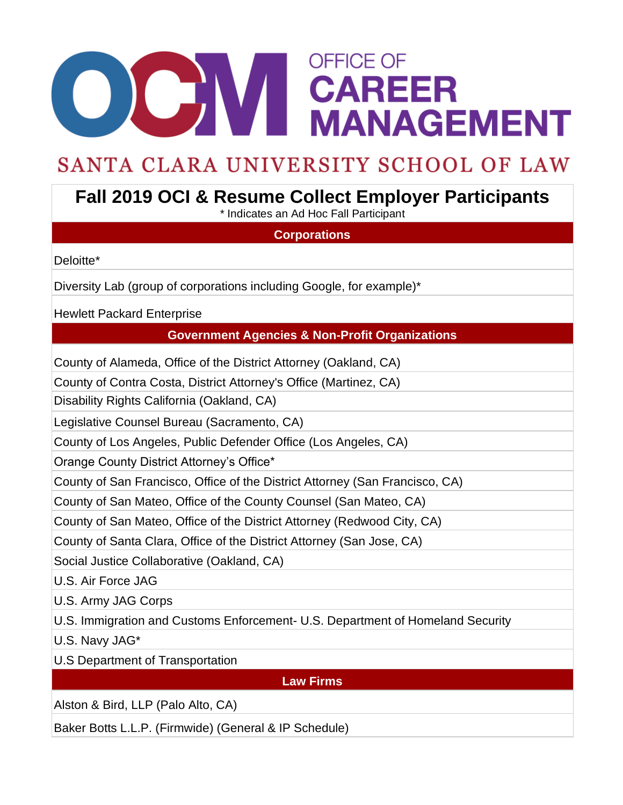# **ODOM STRUE OF STRUE OF STRUE STRUE MANAGEMENT OFFICE OF**

## SANTA CLARA UNIVERSITY SCHOOL OF LAW

## **Fall 2019 OCI & Resume Collect Employer Participants**

\* Indicates an Ad Hoc Fall Participant

### **Corporations**

Deloitte\*

Diversity Lab (group of corporations including Google, for example)\*

Hewlett Packard Enterprise

#### **Government Agencies & Non-Profit Organizations**

County of Alameda, Office of the District Attorney (Oakland, CA)

County of Contra Costa, District Attorney's Office (Martinez, CA)

Disability Rights California (Oakland, CA)

Legislative Counsel Bureau (Sacramento, CA)

County of Los Angeles, Public Defender Office (Los Angeles, CA)

Orange County District Attorney's Office\*

County of San Francisco, Office of the District Attorney (San Francisco, CA)

County of San Mateo, Office of the County Counsel (San Mateo, CA)

County of San Mateo, Office of the District Attorney (Redwood City, CA)

County of Santa Clara, Office of the District Attorney (San Jose, CA)

Social Justice Collaborative (Oakland, CA)

U.S. Air Force JAG

U.S. Army JAG Corps

U.S. Immigration and Customs Enforcement- U.S. Department of Homeland Security

U.S. Navy JAG\*

U.S Department of Transportation

**Law Firms**

Alston & Bird, LLP (Palo Alto, CA)

Baker Botts L.L.P. (Firmwide) (General & IP Schedule)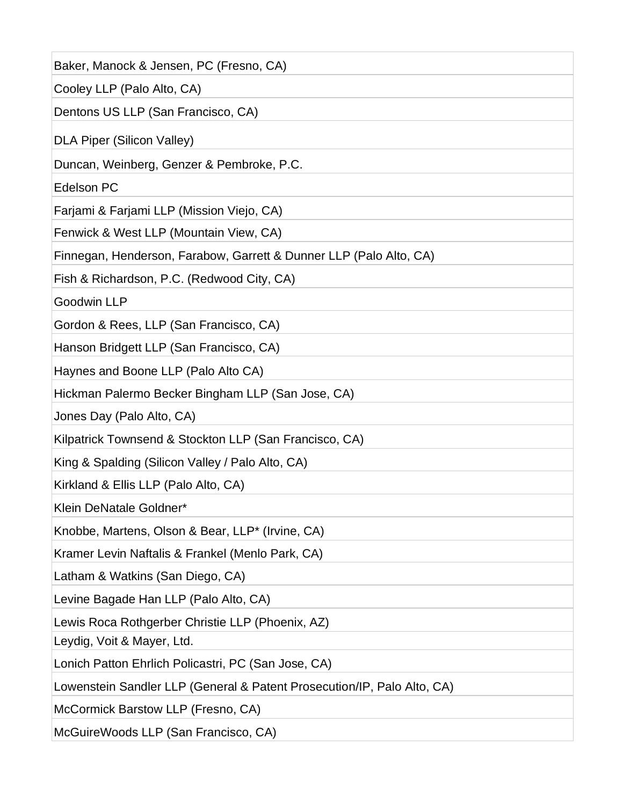| Baker, Manock & Jensen, PC (Fresno, CA)                                 |
|-------------------------------------------------------------------------|
| Cooley LLP (Palo Alto, CA)                                              |
| Dentons US LLP (San Francisco, CA)                                      |
| <b>DLA Piper (Silicon Valley)</b>                                       |
| Duncan, Weinberg, Genzer & Pembroke, P.C.                               |
| <b>Edelson PC</b>                                                       |
| Farjami & Farjami LLP (Mission Viejo, CA)                               |
| Fenwick & West LLP (Mountain View, CA)                                  |
| Finnegan, Henderson, Farabow, Garrett & Dunner LLP (Palo Alto, CA)      |
| Fish & Richardson, P.C. (Redwood City, CA)                              |
| <b>Goodwin LLP</b>                                                      |
| Gordon & Rees, LLP (San Francisco, CA)                                  |
| Hanson Bridgett LLP (San Francisco, CA)                                 |
| Haynes and Boone LLP (Palo Alto CA)                                     |
| Hickman Palermo Becker Bingham LLP (San Jose, CA)                       |
| Jones Day (Palo Alto, CA)                                               |
| Kilpatrick Townsend & Stockton LLP (San Francisco, CA)                  |
| King & Spalding (Silicon Valley / Palo Alto, CA)                        |
| Kirkland & Ellis LLP (Palo Alto, CA)                                    |
| Klein DeNatale Goldner*                                                 |
| Knobbe, Martens, Olson & Bear, LLP* (Irvine, CA)                        |
| Kramer Levin Naftalis & Frankel (Menlo Park, CA)                        |
| Latham & Watkins (San Diego, CA)                                        |
| Levine Bagade Han LLP (Palo Alto, CA)                                   |
| Lewis Roca Rothgerber Christie LLP (Phoenix, AZ)                        |
| Leydig, Voit & Mayer, Ltd.                                              |
| Lonich Patton Ehrlich Policastri, PC (San Jose, CA)                     |
| Lowenstein Sandler LLP (General & Patent Prosecution/IP, Palo Alto, CA) |
| McCormick Barstow LLP (Fresno, CA)                                      |
| McGuireWoods LLP (San Francisco, CA)                                    |